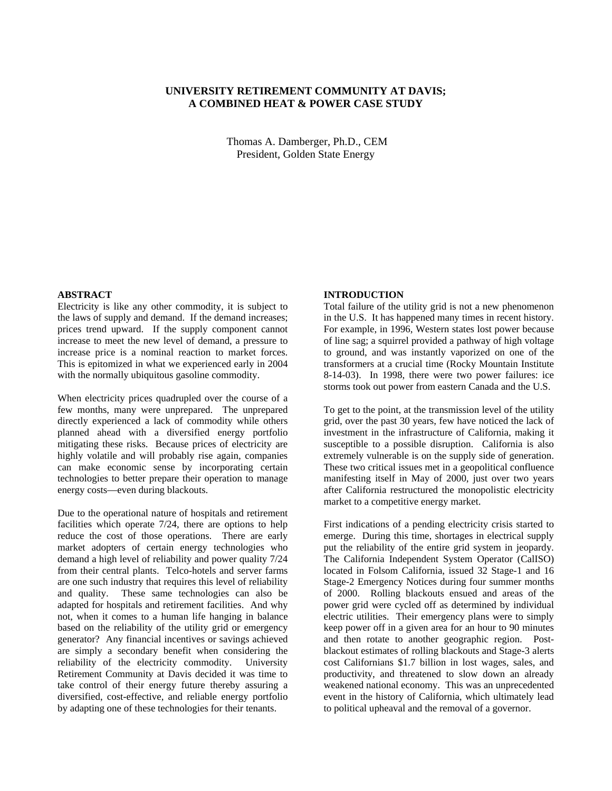# **UNIVERSITY RETIREMENT COMMUNITY AT DAVIS; A COMBINED HEAT & POWER CASE STUDY**

 Thomas A. Damberger, Ph.D., CEM President, Golden State Energy

#### **ABSTRACT**

Electricity is like any other commodity, it is subject to the laws of supply and demand. If the demand increases; prices trend upward. If the supply component cannot increase to meet the new level of demand, a pressure to increase price is a nominal reaction to market forces. This is epitomized in what we experienced early in 2004 with the normally ubiquitous gasoline commodity.

When electricity prices quadrupled over the course of a few months, many were unprepared. The unprepared directly experienced a lack of commodity while others planned ahead with a diversified energy portfolio mitigating these risks. Because prices of electricity are highly volatile and will probably rise again, companies can make economic sense by incorporating certain technologies to better prepare their operation to manage energy costs—even during blackouts.

Due to the operational nature of hospitals and retirement facilities which operate 7/24, there are options to help reduce the cost of those operations. There are early market adopters of certain energy technologies who demand a high level of reliability and power quality 7/24 from their central plants. Telco-hotels and server farms are one such industry that requires this level of reliability and quality. These same technologies can also be adapted for hospitals and retirement facilities. And why not, when it comes to a human life hanging in balance based on the reliability of the utility grid or emergency generator? Any financial incentives or savings achieved are simply a secondary benefit when considering the reliability of the electricity commodity. University Retirement Community at Davis decided it was time to take control of their energy future thereby assuring a diversified, cost-effective, and reliable energy portfolio by adapting one of these technologies for their tenants.

#### **INTRODUCTION**

Total failure of the utility grid is not a new phenomenon in the U.S. It has happened many times in recent history. For example, in 1996, Western states lost power because of line sag; a squirrel provided a pathway of high voltage to ground, and was instantly vaporized on one of the transformers at a crucial time (Rocky Mountain Institute 8-14-03). In 1998, there were two power failures: ice storms took out power from eastern Canada and the U.S.

To get to the point, at the transmission level of the utility grid, over the past 30 years, few have noticed the lack of investment in the infrastructure of California, making it susceptible to a possible disruption. California is also extremely vulnerable is on the supply side of generation. These two critical issues met in a geopolitical confluence manifesting itself in May of 2000, just over two years after California restructured the monopolistic electricity market to a competitive energy market.

First indications of a pending electricity crisis started to emerge. During this time, shortages in electrical supply put the reliability of the entire grid system in jeopardy. The California Independent System Operator (CalISO) located in Folsom California, issued 32 Stage-1 and 16 Stage-2 Emergency Notices during four summer months of 2000. Rolling blackouts ensued and areas of the power grid were cycled off as determined by individual electric utilities. Their emergency plans were to simply keep power off in a given area for an hour to 90 minutes and then rotate to another geographic region. Postblackout estimates of rolling blackouts and Stage-3 alerts cost Californians \$1.7 billion in lost wages, sales, and productivity, and threatened to slow down an already weakened national economy. This was an unprecedented event in the history of California, which ultimately lead to political upheaval and the removal of a governor.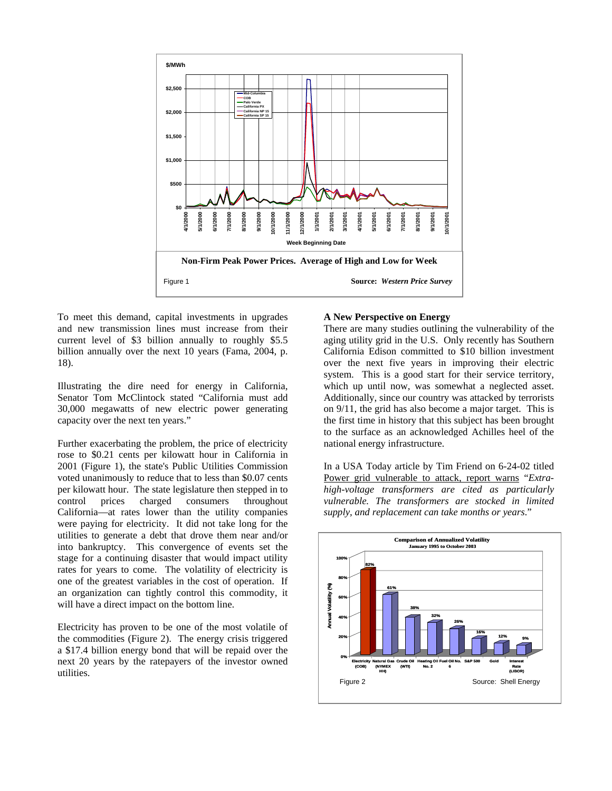

To meet this demand, capital investments in upgrades and new transmission lines must increase from their current level of \$3 billion annually to roughly \$5.5 billion annually over the next 10 years (Fama, 2004, p. 18).

Illustrating the dire need for energy in California, Senator Tom McClintock stated "California must add 30,000 megawatts of new electric power generating capacity over the next ten years."

Further exacerbating the problem, the price of electricity rose to \$0.21 cents per kilowatt hour in California in 2001 (Figure 1), the state's Public Utilities Commission voted unanimously to reduce that to less than \$0.07 cents per kilowatt hour. The state legislature then stepped in to control prices charged consumers throughout California—at rates lower than the utility companies were paying for electricity. It did not take long for the utilities to generate a debt that drove them near and/or into bankruptcy. This convergence of events set the stage for a continuing disaster that would impact utility rates for years to come. The volatility of electricity is one of the greatest variables in the cost of operation. If an organization can tightly control this commodity, it will have a direct impact on the bottom line.

Electricity has proven to be one of the most volatile of the commodities (Figure 2). The energy crisis triggered a \$17.4 billion energy bond that will be repaid over the next 20 years by the ratepayers of the investor owned utilities.

#### **A New Perspective on Energy**

There are many studies outlining the vulnerability of the aging utility grid in the U.S. Only recently has Southern California Edison committed to \$10 billion investment over the next five years in improving their electric system. This is a good start for their service territory, which up until now, was somewhat a neglected asset. Additionally, since our country was attacked by terrorists on 9/11, the grid has also become a major target. This is the first time in history that this subject has been brought to the surface as an acknowledged Achilles heel of the national energy infrastructure.

In a USA Today article by Tim Friend on 6-24-02 titled Power grid vulnerable to attack, report warns "*Extrahigh-voltage transformers are cited as particularly vulnerable. The transformers are stocked in limited supply, and replacement can take months or years*."

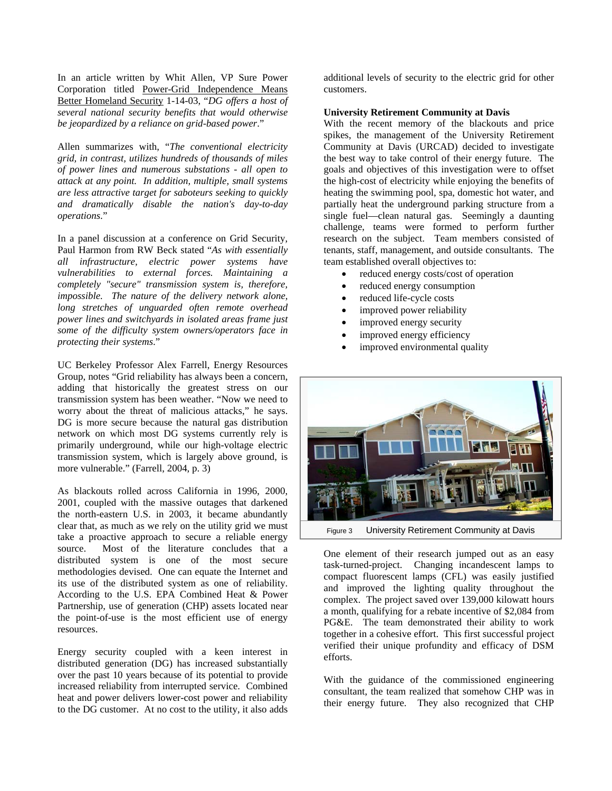In an article written by Whit Allen, VP Sure Power Corporation titled Power-Grid Independence Means Better Homeland Security 1-14-03, "*DG offers a host of several national security benefits that would otherwise be jeopardized by a reliance on grid-based power*."

Allen summarizes with, "*The conventional electricity grid, in contrast, utilizes hundreds of thousands of miles of power lines and numerous substations - all open to attack at any point. In addition, multiple, small systems are less attractive target for saboteurs seeking to quickly and dramatically disable the nation's day-to-day operations*."

In a panel discussion at a conference on Grid Security, Paul Harmon from RW Beck stated "*As with essentially all infrastructure, electric power systems have vulnerabilities to external forces. Maintaining a completely "secure" transmission system is, therefore, impossible. The nature of the delivery network alone, long stretches of unguarded often remote overhead power lines and switchyards in isolated areas frame just some of the difficulty system owners/operators face in protecting their systems*."

UC Berkeley Professor Alex Farrell, Energy Resources Group, notes "Grid reliability has always been a concern, adding that historically the greatest stress on our transmission system has been weather. "Now we need to worry about the threat of malicious attacks," he says. DG is more secure because the natural gas distribution network on which most DG systems currently rely is primarily underground, while our high-voltage electric transmission system, which is largely above ground, is more vulnerable." (Farrell, 2004, p. 3)

As blackouts rolled across California in 1996, 2000, 2001, coupled with the massive outages that darkened the north-eastern U.S. in 2003, it became abundantly clear that, as much as we rely on the utility grid we must take a proactive approach to secure a reliable energy source. Most of the literature concludes that a distributed system is one of the most secure methodologies devised. One can equate the Internet and its use of the distributed system as one of reliability. According to the U.S. EPA Combined Heat & Power Partnership, use of generation (CHP) assets located near the point-of-use is the most efficient use of energy resources.

Energy security coupled with a keen interest in distributed generation (DG) has increased substantially over the past 10 years because of its potential to provide increased reliability from interrupted service. Combined heat and power delivers lower-cost power and reliability to the DG customer. At no cost to the utility, it also adds

additional levels of security to the electric grid for other customers.

## **University Retirement Community at Davis**

With the recent memory of the blackouts and price spikes, the management of the University Retirement Community at Davis (URCAD) decided to investigate the best way to take control of their energy future. The goals and objectives of this investigation were to offset the high-cost of electricity while enjoying the benefits of heating the swimming pool, spa, domestic hot water, and partially heat the underground parking structure from a single fuel—clean natural gas. Seemingly a daunting challenge, teams were formed to perform further research on the subject. Team members consisted of tenants, staff, management, and outside consultants. The team established overall objectives to:

- reduced energy costs/cost of operation
- reduced energy consumption
- reduced life-cycle costs
- improved power reliability
- improved energy security
- improved energy efficiency
- improved environmental quality



One element of their research jumped out as an easy task-turned-project. Changing incandescent lamps to compact fluorescent lamps (CFL) was easily justified and improved the lighting quality throughout the complex. The project saved over 139,000 kilowatt hours a month, qualifying for a rebate incentive of \$2,084 from PG&E. The team demonstrated their ability to work together in a cohesive effort. This first successful project verified their unique profundity and efficacy of DSM efforts.

With the guidance of the commissioned engineering consultant, the team realized that somehow CHP was in their energy future. They also recognized that CHP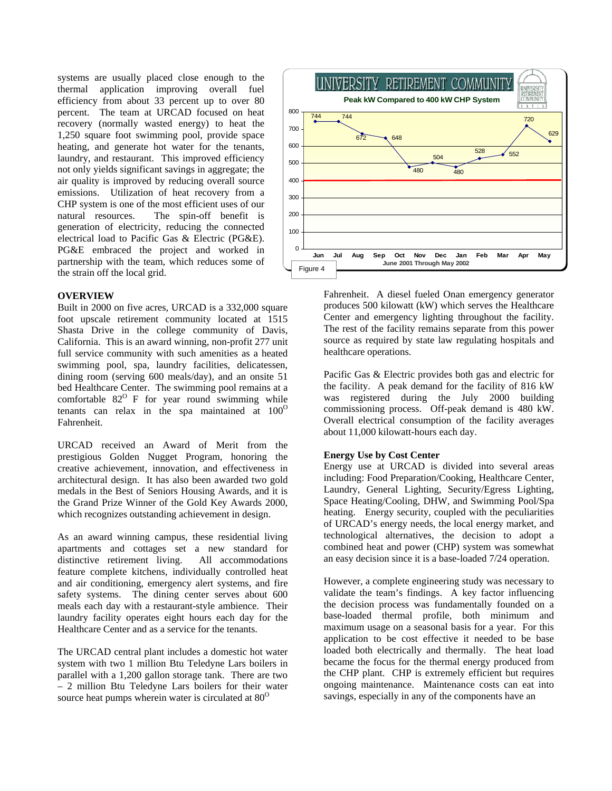systems are usually placed close enough to the thermal application improving overall fuel efficiency from about 33 percent up to over 80 percent. The team at URCAD focused on heat recovery (normally wasted energy) to heat the 1,250 square foot swimming pool, provide space heating, and generate hot water for the tenants, laundry, and restaurant. This improved efficiency not only yields significant savings in aggregate; the air quality is improved by reducing overall source emissions. Utilization of heat recovery from a CHP system is one of the most efficient uses of our natural resources. The spin-off benefit is generation of electricity, reducing the connected electrical load to Pacific Gas & Electric (PG&E). PG&E embraced the project and worked in partnership with the team, which reduces some of the strain off the local grid.

#### **OVERVIEW**

Built in 2000 on five acres, URCAD is a 332,000 square foot upscale retirement community located at 1515 Shasta Drive in the college community of Davis, California. This is an award winning, non-profit 277 unit full service community with such amenities as a heated swimming pool, spa, laundry facilities, delicatessen, dining room (serving 600 meals/day), and an onsite 51 bed Healthcare Center. The swimming pool remains at a comfortable  $82^{\circ}$  F for year round swimming while tenants can relax in the spa maintained at  $100^\circ$ Fahrenheit.

URCAD received an Award of Merit from the prestigious Golden Nugget Program, honoring the creative achievement, innovation, and effectiveness in architectural design. It has also been awarded two gold medals in the Best of Seniors Housing Awards, and it is the Grand Prize Winner of the Gold Key Awards 2000, which recognizes outstanding achievement in design.

As an award winning campus, these residential living apartments and cottages set a new standard for distinctive retirement living. All accommodations feature complete kitchens, individually controlled heat and air conditioning, emergency alert systems, and fire safety systems. The dining center serves about 600 meals each day with a restaurant-style ambience. Their laundry facility operates eight hours each day for the Healthcare Center and as a service for the tenants.

The URCAD central plant includes a domestic hot water system with two 1 million Btu Teledyne Lars boilers in parallel with a 1,200 gallon storage tank. There are two – 2 million Btu Teledyne Lars boilers for their water source heat pumps wherein water is circulated at  $80^\circ$ 



Fahrenheit. A diesel fueled Onan emergency generator produces 500 kilowatt (kW) which serves the Healthcare Center and emergency lighting throughout the facility. The rest of the facility remains separate from this power source as required by state law regulating hospitals and healthcare operations.

Pacific Gas & Electric provides both gas and electric for the facility. A peak demand for the facility of 816 kW was registered during the July 2000 building commissioning process. Off-peak demand is 480 kW. Overall electrical consumption of the facility averages about 11,000 kilowatt-hours each day.

## **Energy Use by Cost Center**

Energy use at URCAD is divided into several areas including: Food Preparation/Cooking, Healthcare Center, Laundry, General Lighting, Security/Egress Lighting, Space Heating/Cooling, DHW, and Swimming Pool/Spa heating. Energy security, coupled with the peculiarities of URCAD's energy needs, the local energy market, and technological alternatives, the decision to adopt a combined heat and power (CHP) system was somewhat an easy decision since it is a base-loaded 7/24 operation.

However, a complete engineering study was necessary to validate the team's findings. A key factor influencing the decision process was fundamentally founded on a base-loaded thermal profile, both minimum and maximum usage on a seasonal basis for a year. For this application to be cost effective it needed to be base loaded both electrically and thermally. The heat load became the focus for the thermal energy produced from the CHP plant. CHP is extremely efficient but requires ongoing maintenance. Maintenance costs can eat into savings, especially in any of the components have an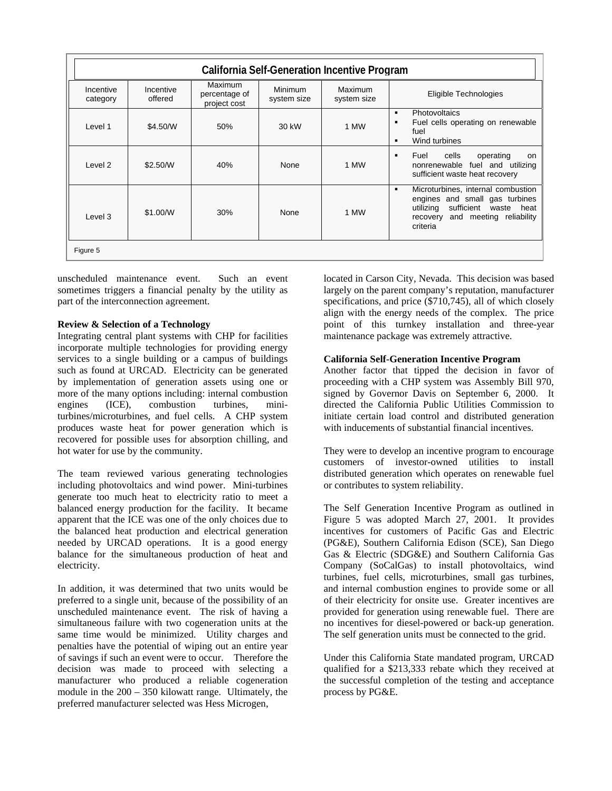| <b>California Self-Generation Incentive Program</b> |                      |                                          |                               |                               |                                                                                                                                                                              |  |  |  |
|-----------------------------------------------------|----------------------|------------------------------------------|-------------------------------|-------------------------------|------------------------------------------------------------------------------------------------------------------------------------------------------------------------------|--|--|--|
| Incentive<br>category                               | Incentive<br>offered | Maximum<br>percentage of<br>project cost | <b>Minimum</b><br>system size | <b>Maximum</b><br>system size | Eligible Technologies                                                                                                                                                        |  |  |  |
| Level 1                                             | \$4.50/W             | 50%                                      | 30 kW                         | 1 MW                          | Photovoltaics<br>$\blacksquare$<br>Fuel cells operating on renewable<br>п<br>fuel<br>Wind turbines<br>п                                                                      |  |  |  |
| Level 2                                             | \$2.50/W             | 40%                                      | None                          | 1 MW                          | cells<br>operating<br>Fuel<br>on<br>٠<br>nonrenewable fuel and utilizing<br>sufficient waste heat recovery                                                                   |  |  |  |
| Level 3                                             | \$1,00/W             | 30%                                      | None                          | 1 MW                          | Microturbines, internal combustion<br>$\blacksquare$<br>engines and small gas turbines<br>sufficient waste heat<br>utilizing<br>recovery and meeting reliability<br>criteria |  |  |  |
| Figure 5                                            |                      |                                          |                               |                               |                                                                                                                                                                              |  |  |  |

unscheduled maintenance event. Such an event sometimes triggers a financial penalty by the utility as part of the interconnection agreement.

# **Review & Selection of a Technology**

Integrating central plant systems with CHP for facilities incorporate multiple technologies for providing energy services to a single building or a campus of buildings such as found at URCAD. Electricity can be generated by implementation of generation assets using one or more of the many options including: internal combustion engines (ICE), combustion turbines, miniturbines/microturbines, and fuel cells. A CHP system produces waste heat for power generation which is recovered for possible uses for absorption chilling, and hot water for use by the community.

The team reviewed various generating technologies including photovoltaics and wind power. Mini-turbines generate too much heat to electricity ratio to meet a balanced energy production for the facility. It became apparent that the ICE was one of the only choices due to the balanced heat production and electrical generation needed by URCAD operations. It is a good energy balance for the simultaneous production of heat and electricity.

In addition, it was determined that two units would be preferred to a single unit, because of the possibility of an unscheduled maintenance event. The risk of having a simultaneous failure with two cogeneration units at the same time would be minimized. Utility charges and penalties have the potential of wiping out an entire year of savings if such an event were to occur. Therefore the decision was made to proceed with selecting a manufacturer who produced a reliable cogeneration module in the 200 – 350 kilowatt range. Ultimately, the preferred manufacturer selected was Hess Microgen,

located in Carson City, Nevada. This decision was based largely on the parent company's reputation, manufacturer specifications, and price (\$710,745), all of which closely align with the energy needs of the complex. The price point of this turnkey installation and three-year maintenance package was extremely attractive.

# **California Self-Generation Incentive Program**

Another factor that tipped the decision in favor of proceeding with a CHP system was Assembly Bill 970, signed by Governor Davis on September 6, 2000. It directed the California Public Utilities Commission to initiate certain load control and distributed generation with inducements of substantial financial incentives.

They were to develop an incentive program to encourage customers of investor-owned utilities to install distributed generation which operates on renewable fuel or contributes to system reliability.

The Self Generation Incentive Program as outlined in Figure 5 was adopted March 27, 2001. It provides incentives for customers of Pacific Gas and Electric (PG&E), Southern California Edison (SCE), San Diego Gas & Electric (SDG&E) and Southern California Gas Company (SoCalGas) to install photovoltaics, wind turbines, fuel cells, microturbines, small gas turbines, and internal combustion engines to provide some or all of their electricity for onsite use. Greater incentives are provided for generation using renewable fuel. There are no incentives for diesel-powered or back-up generation. The self generation units must be connected to the grid.

Under this California State mandated program, URCAD qualified for a \$213,333 rebate which they received at the successful completion of the testing and acceptance process by PG&E.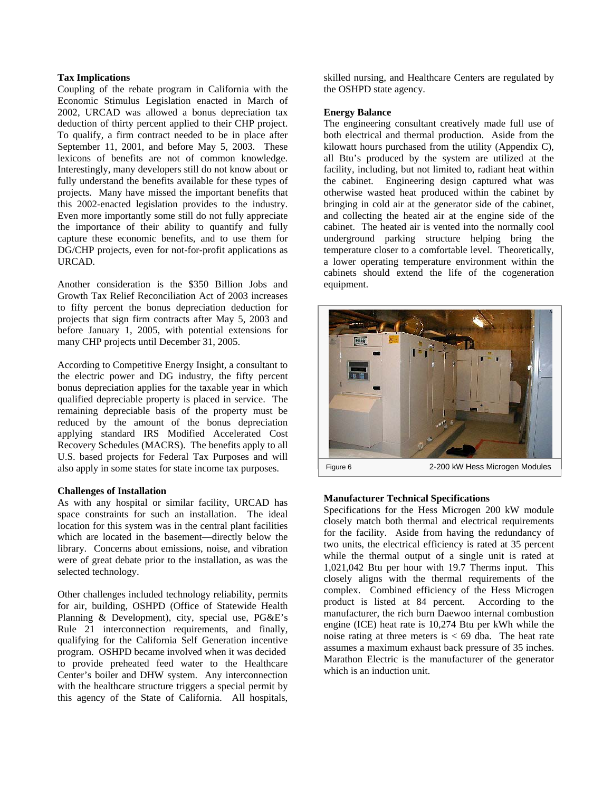# **Tax Implications**

Coupling of the rebate program in California with the Economic Stimulus Legislation enacted in March of 2002, URCAD was allowed a bonus depreciation tax deduction of thirty percent applied to their CHP project. To qualify, a firm contract needed to be in place after September 11, 2001, and before May 5, 2003. These lexicons of benefits are not of common knowledge. Interestingly, many developers still do not know about or fully understand the benefits available for these types of projects. Many have missed the important benefits that this 2002-enacted legislation provides to the industry. Even more importantly some still do not fully appreciate the importance of their ability to quantify and fully capture these economic benefits, and to use them for DG/CHP projects, even for not-for-profit applications as URCAD.

Another consideration is the \$350 Billion Jobs and Growth Tax Relief Reconciliation Act of 2003 increases to fifty percent the bonus depreciation deduction for projects that sign firm contracts after May 5, 2003 and before January 1, 2005, with potential extensions for many CHP projects until December 31, 2005.

According to Competitive Energy Insight, a consultant to the electric power and DG industry, the fifty percent bonus depreciation applies for the taxable year in which qualified depreciable property is placed in service. The remaining depreciable basis of the property must be reduced by the amount of the bonus depreciation applying standard IRS Modified Accelerated Cost Recovery Schedules (MACRS). The benefits apply to all U.S. based projects for Federal Tax Purposes and will

### **Challenges of Installation**

As with any hospital or similar facility, URCAD has space constraints for such an installation. The ideal location for this system was in the central plant facilities which are located in the basement—directly below the library. Concerns about emissions, noise, and vibration were of great debate prior to the installation, as was the selected technology.

Other challenges included technology reliability, permits for air, building, OSHPD (Office of Statewide Health Planning & Development), city, special use, PG&E's Rule 21 interconnection requirements, and finally, qualifying for the California Self Generation incentive program. OSHPD became involved when it was decided to provide preheated feed water to the Healthcare Center's boiler and DHW system. Any interconnection with the healthcare structure triggers a special permit by this agency of the State of California. All hospitals,

skilled nursing, and Healthcare Centers are regulated by the OSHPD state agency.

#### **Energy Balance**

The engineering consultant creatively made full use of both electrical and thermal production. Aside from the kilowatt hours purchased from the utility (Appendix C), all Btu's produced by the system are utilized at the facility, including, but not limited to, radiant heat within the cabinet. Engineering design captured what was otherwise wasted heat produced within the cabinet by bringing in cold air at the generator side of the cabinet, and collecting the heated air at the engine side of the cabinet. The heated air is vented into the normally cool underground parking structure helping bring the temperature closer to a comfortable level. Theoretically, a lower operating temperature environment within the cabinets should extend the life of the cogeneration equipment.



#### **Manufacturer Technical Specifications**

Specifications for the Hess Microgen 200 kW module closely match both thermal and electrical requirements for the facility. Aside from having the redundancy of two units, the electrical efficiency is rated at 35 percent while the thermal output of a single unit is rated at 1,021,042 Btu per hour with 19.7 Therms input. This closely aligns with the thermal requirements of the complex. Combined efficiency of the Hess Microgen product is listed at 84 percent. According to the manufacturer, the rich burn Daewoo internal combustion engine (ICE) heat rate is 10,274 Btu per kWh while the noise rating at three meters is  $< 69$  dba. The heat rate assumes a maximum exhaust back pressure of 35 inches. Marathon Electric is the manufacturer of the generator which is an induction unit.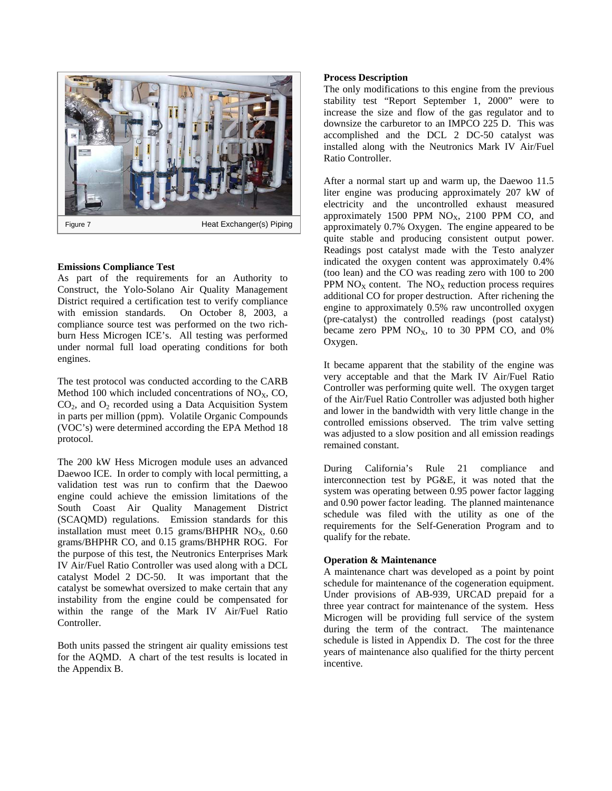

### **Emissions Compliance Test**

As part of the requirements for an Authority to Construct, the Yolo-Solano Air Quality Management District required a certification test to verify compliance with emission standards. On October 8, 2003, a compliance source test was performed on the two richburn Hess Microgen ICE's. All testing was performed under normal full load operating conditions for both engines.

The test protocol was conducted according to the CARB Method 100 which included concentrations of  $NO<sub>X</sub>$ , CO,  $CO<sub>2</sub>$ , and  $O<sub>2</sub>$  recorded using a Data Acquisition System in parts per million (ppm). Volatile Organic Compounds (VOC's) were determined according the EPA Method 18 protocol.

The 200 kW Hess Microgen module uses an advanced Daewoo ICE. In order to comply with local permitting, a validation test was run to confirm that the Daewoo engine could achieve the emission limitations of the South Coast Air Quality Management District (SCAQMD) regulations. Emission standards for this installation must meet  $0.15$  grams/BHPHR NO<sub>X</sub>,  $0.60$ grams/BHPHR CO, and 0.15 grams/BHPHR ROG. For the purpose of this test, the Neutronics Enterprises Mark IV Air/Fuel Ratio Controller was used along with a DCL catalyst Model 2 DC-50. It was important that the catalyst be somewhat oversized to make certain that any instability from the engine could be compensated for within the range of the Mark IV Air/Fuel Ratio Controller.

Both units passed the stringent air quality emissions test for the AQMD. A chart of the test results is located in the Appendix B.

# **Process Description**

The only modifications to this engine from the previous stability test "Report September 1, 2000" were to increase the size and flow of the gas regulator and to downsize the carburetor to an IMPCO 225 D. This was accomplished and the DCL 2 DC-50 catalyst was installed along with the Neutronics Mark IV Air/Fuel Ratio Controller.

After a normal start up and warm up, the Daewoo 11.5 liter engine was producing approximately 207 kW of electricity and the uncontrolled exhaust measured approximately 1500 PPM  $NO<sub>X</sub>$ , 2100 PPM CO, and approximately 0.7% Oxygen. The engine appeared to be quite stable and producing consistent output power. Readings post catalyst made with the Testo analyzer indicated the oxygen content was approximately 0.4% (too lean) and the CO was reading zero with 100 to 200 PPM  $NO<sub>X</sub>$  content. The  $NO<sub>X</sub>$  reduction process requires additional CO for proper destruction. After richening the engine to approximately 0.5% raw uncontrolled oxygen (pre-catalyst) the controlled readings (post catalyst) became zero PPM  $NO<sub>x</sub>$ , 10 to 30 PPM CO, and 0% Oxygen.

It became apparent that the stability of the engine was very acceptable and that the Mark IV Air/Fuel Ratio Controller was performing quite well. The oxygen target of the Air/Fuel Ratio Controller was adjusted both higher and lower in the bandwidth with very little change in the controlled emissions observed. The trim valve setting was adjusted to a slow position and all emission readings remained constant.

During California's Rule 21 compliance and interconnection test by PG&E, it was noted that the system was operating between 0.95 power factor lagging and 0.90 power factor leading. The planned maintenance schedule was filed with the utility as one of the requirements for the Self-Generation Program and to qualify for the rebate.

# **Operation & Maintenance**

A maintenance chart was developed as a point by point schedule for maintenance of the cogeneration equipment. Under provisions of AB-939, URCAD prepaid for a three year contract for maintenance of the system. Hess Microgen will be providing full service of the system during the term of the contract. The maintenance schedule is listed in Appendix D. The cost for the three years of maintenance also qualified for the thirty percent incentive.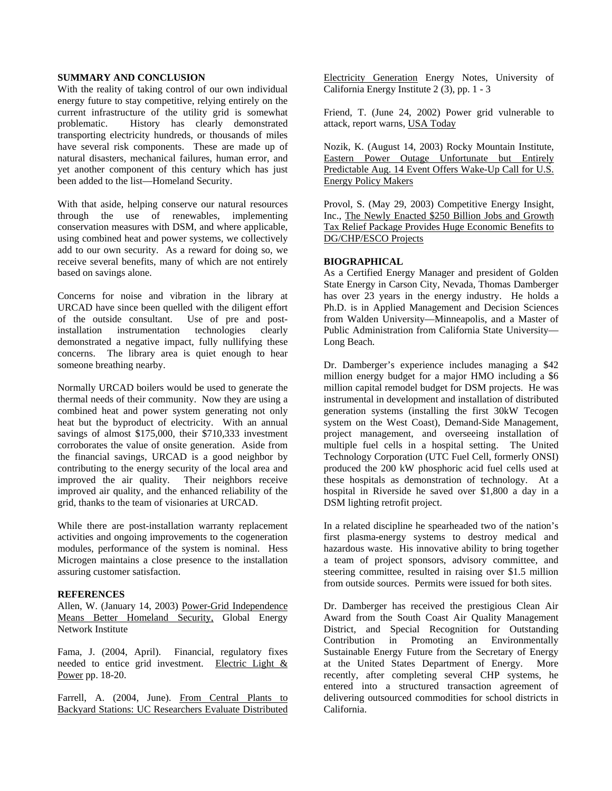## **SUMMARY AND CONCLUSION**

With the reality of taking control of our own individual energy future to stay competitive, relying entirely on the current infrastructure of the utility grid is somewhat problematic. History has clearly demonstrated transporting electricity hundreds, or thousands of miles have several risk components. These are made up of natural disasters, mechanical failures, human error, and yet another component of this century which has just been added to the list—Homeland Security.

With that aside, helping conserve our natural resources through the use of renewables, implementing conservation measures with DSM, and where applicable, using combined heat and power systems, we collectively add to our own security. As a reward for doing so, we receive several benefits, many of which are not entirely based on savings alone.

Concerns for noise and vibration in the library at URCAD have since been quelled with the diligent effort of the outside consultant. Use of pre and postinstallation instrumentation technologies clearly demonstrated a negative impact, fully nullifying these concerns. The library area is quiet enough to hear someone breathing nearby.

Normally URCAD boilers would be used to generate the thermal needs of their community. Now they are using a combined heat and power system generating not only heat but the byproduct of electricity. With an annual savings of almost \$175,000, their \$710,333 investment corroborates the value of onsite generation. Aside from the financial savings, URCAD is a good neighbor by contributing to the energy security of the local area and improved the air quality. Their neighbors receive improved air quality, and the enhanced reliability of the grid, thanks to the team of visionaries at URCAD.

While there are post-installation warranty replacement activities and ongoing improvements to the cogeneration modules, performance of the system is nominal. Hess Microgen maintains a close presence to the installation assuring customer satisfaction.

## **REFERENCES**

Allen, W. (January 14, 2003) Power-Grid Independence Means Better Homeland Security, Global Energy Network Institute

Fama, J. (2004, April). Financial, regulatory fixes needed to entice grid investment. Electric Light & Power pp. 18-20.

Farrell, A. (2004, June). From Central Plants to Backyard Stations: UC Researchers Evaluate Distributed

Electricity Generation Energy Notes, University of California Energy Institute 2 (3), pp. 1 - 3

Friend, T. (June 24, 2002) Power grid vulnerable to attack, report warns, USA Today

Nozik, K. (August 14, 2003) Rocky Mountain Institute, Eastern Power Outage Unfortunate but Entirely Predictable Aug. 14 Event Offers Wake-Up Call for U.S. Energy Policy Makers

Provol, S. (May 29, 2003) Competitive Energy Insight, Inc., The Newly Enacted \$250 Billion Jobs and Growth Tax Relief Package Provides Huge Economic Benefits to DG/CHP/ESCO Projects

### **BIOGRAPHICAL**

As a Certified Energy Manager and president of Golden State Energy in Carson City, Nevada, Thomas Damberger has over 23 years in the energy industry. He holds a Ph.D. is in Applied Management and Decision Sciences from Walden University—Minneapolis, and a Master of Public Administration from California State University— Long Beach.

Dr. Damberger's experience includes managing a \$42 million energy budget for a major HMO including a \$6 million capital remodel budget for DSM projects. He was instrumental in development and installation of distributed generation systems (installing the first 30kW Tecogen system on the West Coast), Demand-Side Management, project management, and overseeing installation of multiple fuel cells in a hospital setting. The United Technology Corporation (UTC Fuel Cell, formerly ONSI) produced the 200 kW phosphoric acid fuel cells used at these hospitals as demonstration of technology. At a hospital in Riverside he saved over \$1,800 a day in a DSM lighting retrofit project.

In a related discipline he spearheaded two of the nation's first plasma-energy systems to destroy medical and hazardous waste. His innovative ability to bring together a team of project sponsors, advisory committee, and steering committee, resulted in raising over \$1.5 million from outside sources. Permits were issued for both sites.

Dr. Damberger has received the prestigious Clean Air Award from the South Coast Air Quality Management District, and Special Recognition for Outstanding Contribution in Promoting an Environmentally Sustainable Energy Future from the Secretary of Energy at the United States Department of Energy. More recently, after completing several CHP systems, he entered into a structured transaction agreement of delivering outsourced commodities for school districts in California.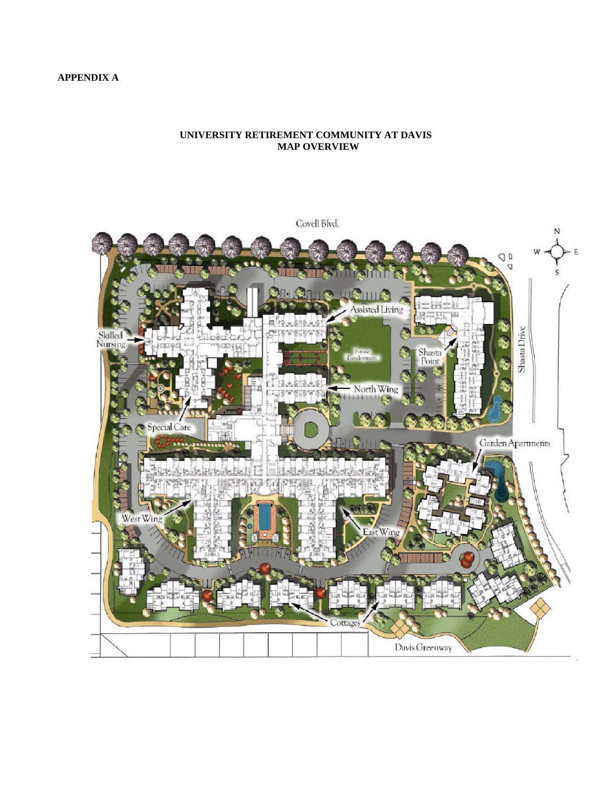# **APPENDIX A**

# **UNIVERSITY RETIREMENT COMMUNITY AT DAVIS MAP OVERVIEW**

N  $QD$  $\overline{Q}$ **Assisted Living** Shasta Drive Skilled<br>Nursing Pinne<br>Deelopme Shasta Point <u>M Beathea</u> North Wing **LEELINGS Special Care** Garden Apartments West Wing ast Wing Cottages Davis Greenway

Covell Blvd.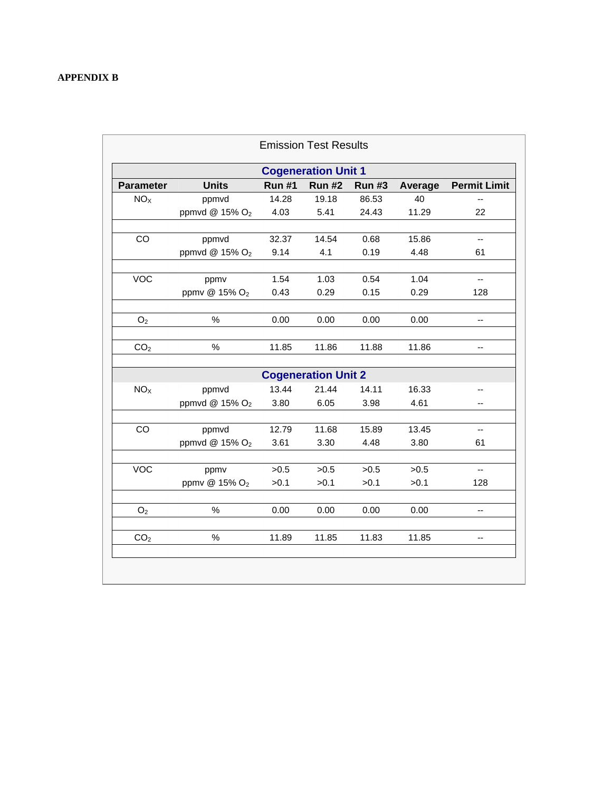# **APPENDIX B**

|                  |                            |               | <b>Cogeneration Unit 1</b> |               |         |                     |
|------------------|----------------------------|---------------|----------------------------|---------------|---------|---------------------|
| <b>Parameter</b> | <b>Units</b>               | <b>Run #1</b> | <b>Run #2</b>              | <b>Run #3</b> | Average | <b>Permit Limit</b> |
| NO <sub>X</sub>  | ppmvd                      | 14.28         | 19.18                      | 86.53         | 40      |                     |
|                  | ppmvd @ 15% O <sub>2</sub> | 4.03          | 5.41                       | 24.43         | 11.29   | 22                  |
| CO               | ppmvd                      | 32.37         | 14.54                      | 0.68          | 15.86   | Ш,                  |
|                  | ppmvd @ 15% O <sub>2</sub> | 9.14          | 4.1                        | 0.19          | 4.48    | 61                  |
| <b>VOC</b>       | ppmv                       | 1.54          | 1.03                       | 0.54          | 1.04    | Ξ.                  |
|                  | ppmv @ 15% O <sub>2</sub>  | 0.43          | 0.29                       | 0.15          | 0.29    | 128                 |
| O <sub>2</sub>   | %                          | 0.00          | 0.00                       | 0.00          | 0.00    | --                  |
| CO <sub>2</sub>  | $\%$                       | 11.85         | 11.86                      | 11.88         | 11.86   | --                  |
|                  |                            |               | <b>Cogeneration Unit 2</b> |               |         |                     |
| NO <sub>X</sub>  | ppmvd                      | 13.44         | 21.44                      | 14.11         | 16.33   | --                  |
|                  | ppmvd @ 15% O <sub>2</sub> | 3.80          | 6.05                       | 3.98          | 4.61    |                     |
| CO               | ppmvd                      | 12.79         | 11.68                      | 15.89         | 13.45   | $-$                 |
|                  | ppmvd @ 15% O <sub>2</sub> | 3.61          | 3.30                       | 4.48          | 3.80    | 61                  |
| <b>VOC</b>       | ppmv                       | >0.5          | >0.5                       | >0.5          | >0.5    | Ξ.                  |
|                  | ppmv @ 15% O <sub>2</sub>  | >0.1          | >0.1                       | >0.1          | >0.1    | 128                 |
| O <sub>2</sub>   | %                          | 0.00          | 0.00                       | 0.00          | 0.00    | --                  |
| CO <sub>2</sub>  | $\%$                       | 11.89         | 11.85                      | 11.83         | 11.85   | --                  |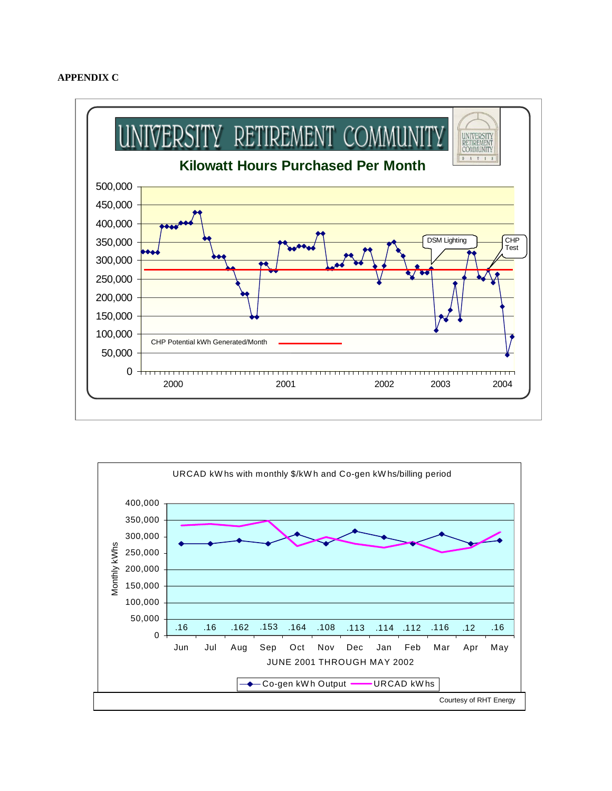# **APPENDIX C**